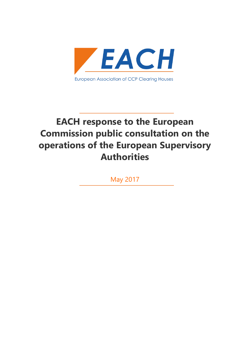

# **EACH response to the European Commission public consultation on the operations of the European Supervisory Authorities**

May 2017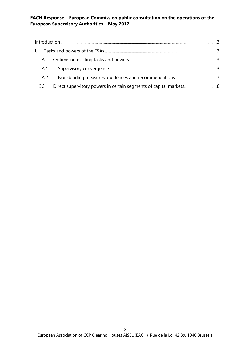#### **EACH Response – European Commission public consultation on the operations of the European Supervisory Authorities – May 2017**

| I.A.   |  |
|--------|--|
|        |  |
| I.A.2. |  |
| I.C.   |  |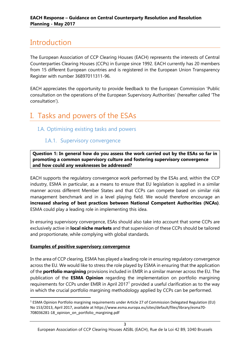# <span id="page-2-0"></span>Introduction

The European Association of CCP Clearing Houses (EACH) represents the interests of Central Counterparties Clearing Houses (CCPs) in Europe since 1992. EACH currently has 20 members from 15 different European countries and is registered in the European Union Transparency Register with number 36897011311-96.

EACH appreciates the opportunity to provide feedback to the European Commission 'Public consultation on the operations of the European Supervisory Authorities' (hereafter called 'The consultation').

# <span id="page-2-1"></span>I. Tasks and powers of the ESAs

# <span id="page-2-3"></span><span id="page-2-2"></span>I.A. Optimising existing tasks and powers

## I.A.1. Supervisory convergence

**Question 1: In general how do you assess the work carried out by the ESAs so far in promoting a common supervisory culture and fostering supervisory convergence and how could any weaknesses be addressed?**

EACH supports the regulatory convergence work performed by the ESAs and, within the CCP industry, ESMA in particular, as a means to ensure that EU legislation is applied in a similar manner across different Member States and that CCPs can compete based on similar risk management benchmark and in a level playing field. We would therefore encourage an **increased sharing of best practices between National Competent Authorities (NCAs)**. ESMA could play a leading role in implementing this idea.

In ensuring supervisory convergence, ESAs should also take into account that some CCPs are exclusively active in **local niche markets** and that supervision of these CCPs should be tailored and proportionate, while complying with global standards.

#### **Examples of positive supervisory convergence**

 $\overline{a}$ 

In the area of CCP clearing, ESMA has played a leading role in ensuring regulatory convergence across the EU. We would like to stress the role played by ESMA in ensuring that the application of the **portfolio margining** provisions included in EMIR in a similar manner across the EU. The publication of the **ESMA Opinion** regarding the implementation on portfolio margining requirements for CCPs under EMIR in April 2017<sup>1</sup> provided a useful clarification as to the way in which the crucial portfolio margining methodology applied by CCPs can be performed.

 $1$  ESMA Opinion Portfolio margining requirements under Article 27 of Commission Delegated Regulation (EU) No 153/2013, April 2017, available at https://www.esma.europa.eu/sites/default/files/library/esma70- 708036281-18\_opinion\_on\_portfolio\_margining.pdf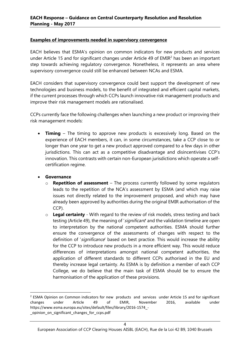#### **Examples of improvements needed in supervisory convergence**

EACH believes that ESMA's opinion on common indicators for new products and services under Article 15 and for significant changes under Article 49 of EMIR<sup>2</sup> has been an important step towards achieving regulatory convergence. Nonetheless, it represents an area where supervisory convergence could still be enhanced between NCAs and ESMA.

EACH considers that supervisory convergence could best support the development of new technologies and business models, to the benefit of integrated and efficient capital markets, if the current processes through which CCPs launch innovative risk management products and improve their risk management models are rationalised.

CCPs currently face the following challenges when launching a new product or improving their risk management models:

- **Timing** The timing to approve new products is excessively long. Based on the experience of EACH members, it can, in some circumstances, take a CCP close to or longer than one year to get a new product approved compared to a few days in other jurisdictions. This can act as a competitive disadvantage and disincentivises CCP's innovation. This contrasts with certain non-European jurisdictions which operate a selfcertification regime.
- **Governance**
	- o **Repetition of assessment** The process currently followed by some regulators leads to the repetition of the NCA's assessment by ESMA (and which may raise issues not directly related to the improvement proposed, and which may have already been approved by authorities during the original EMIR authorisation of the CCP).
	- o **Legal certainty** With regard to the review of risk models, stress testing and back testing (Article 49), the meaning of 'significant' and the validation timeline are open to interpretation by the national competent authorities. ESMA should further ensure the convergence of the assessments of changes with respect to the definition of 'significance' based on best practice. This would increase the ability for the CCP to introduce new products in a more efficient way. This would reduce differences of interpretations amongst national competent authorities, the application of different standards to different CCPs authorised in the EU and thereby increase legal certainty. As ESMA is by definition a member of each CCP College, we do believe that the main task of ESMA should be to ensure the harmonisation of the application of these provisions.

**<sup>.</sup>** <sup>2</sup> ESMA Opinion on Common indicators for new products and services under Article 15 and for significant changes under Article 49 of EMIR, November 2016, available under https://www.esma.europa.eu/sites/default/files/library/2016-1574\_- \_opinion\_on\_significant\_changes\_for\_ccps.pdf

European Association of CCP Clearing Houses AISBL (EACH), Rue de la Loi 42 B9, 1040 Brussels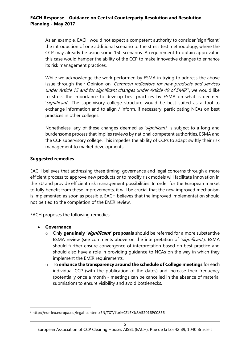As an example, EACH would not expect a competent authority to consider 'significant' the introduction of one additional scenario to the stress test methodology, where the CCP may already be using some 150 scenarios. A requirement to obtain approval in this case would hamper the ability of the CCP to make innovative changes to enhance its risk management practices.

While we acknowledge the work performed by ESMA in trying to address the above issue through their Opinion on 'Common indicators for new products and services under Article 15 and for significant changes under Article 49 of EMIR<sup>3</sup>, we would like to stress the importance to develop best practices by ESMA on what is deemed 'significant'. The supervisory college structure would be best suited as a tool to exchange information and to align / inform, if necessary, participating NCAs on best practices in other colleges.

Nonetheless, any of these changes deemed as 'significant' is subject to a long and burdensome process that implies reviews by national competent authorities, ESMA and the CCP supervisory college. This impedes the ability of CCPs to adapt swiftly their risk management to market developments.

#### **Suggested remedies**

EACH believes that addressing these timing, governance and legal concerns through a more efficient process to approve new products or to modify risk models will facilitate innovation in the EU and provide efficient risk management possibilities. In order for the European market to fully benefit from these improvements, it will be crucial that the new improved mechanism is implemented as soon as possible. EACH believes that the improved implementation should not be tied to the completion of the EMIR review.

EACH proposes the following remedies:

• **Governance**

**.** 

- o Only **genuinely 'significant' proposals** should be referred for a more substantive ESMA review (see comments above on the interpretation of 'significant'). ESMA should further ensure convergence of interpretation based on best practice and should also have a role in providing guidance to NCAs on the way in which they implement the EMIR requirements.
- o To **enhance the transparency around the schedule of College meetings** for each individual CCP (with the publication of the dates) and increase their frequency (potentially once a month - meetings can be cancelled in the absence of material submission) to ensure visibility and avoid bottlenecks.

<sup>3</sup> http://eur-lex.europa.eu/legal-content/EN/TXT/?uri=CELEX%3A52016PC0856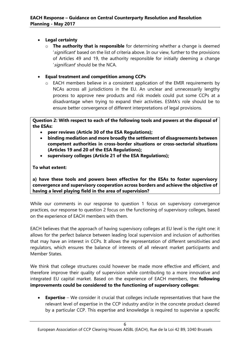#### • **Legal certainty**

- o **The authority that is responsible** for determining whether a change is deemed 'significant' based on the list of criteria above. In our view, further to the provisions of Articles 49 and 19, the authority responsible for initially deeming a change 'significant' should be the NCA.
- **Equal treatment and competition among CCPs**
	- o EACH members believe in a consistent application of the EMIR requirements by NCAs across all jurisdictions in the EU. An unclear and unnecessarily lengthy process to approve new products and risk models could put some CCPs at a disadvantage when trying to expand their activities. ESMA's role should be to ensure better convergence of different interpretations of legal provisions.

**Question 2: With respect to each of the following tools and powers at the disposal of the ESAs:**

- **peer reviews (Article 30 of the ESA Regulations);**
- **binding mediation and more broadly the settlement of disagreements between competent authorities in cross-border situations or cross-sectorial situations (Articles 19 and 20 of the ESA Regulations);**
- **supervisory colleges (Article 21 of the ESA Regulations);**

#### **To what extent:**

**a) have these tools and powers been effective for the ESAs to foster supervisory convergence and supervisory cooperation across borders and achieve the objective of having a level playing field in the area of supervision?**

While our comments in our response to question 1 focus on supervisory convergence practices, our response to question 2 focus on the functioning of supervisory colleges, based on the experience of EACH members with them.

EACH believes that the approach of having supervisory colleges at EU level is the right one: it allows for the perfect balance between leading local supervision and inclusion of authorities that may have an interest in CCPs. It allows the representation of different sensitivities and regulators, which ensures the balance of interests of all relevant market participants and Member States.

We think that college structures could however be made more effective and efficient, and therefore improve their quality of supervision while contributing to a more innovative and integrated EU capital market. Based on the experience of EACH members, the **following improvements could be considered to the functioning of supervisory colleges**:

• **Expertise** – We consider it crucial that colleges include representatives that have the relevant level of expertise in the CCP industry and/or in the concrete product cleared by a particular CCP. This expertise and knowledge is required to supervise a specific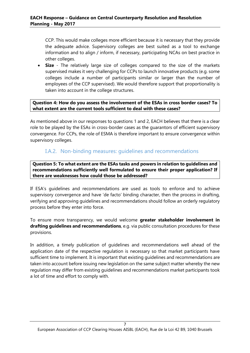CCP. This would make colleges more efficient because it is necessary that they provide the adequate advice. Supervisory colleges are best suited as a tool to exchange information and to align / inform, if necessary, participating NCAs on best practice in other colleges.

• **Size** - The relatively large size of colleges compared to the size of the markets supervised makes it very challenging for CCPs to launch innovative products (e.g. some colleges include a number of participants similar or larger than the number of employees of the CCP supervised). We would therefore support that proportionality is taken into account in the college structures.

**Question 4: How do you assess the involvement of the ESAs in cross border cases? To what extent are the current tools sufficient to deal with these cases?**

As mentioned above in our responses to questions 1 and 2, EACH believes that there is a clear role to be played by the ESAs in cross-border cases as the guarantors of efficient supervisory convergence. For CCPs, the role of ESMA is therefore important to ensure convergence within supervisory colleges.

### <span id="page-6-0"></span>I.A.2. Non-binding measures: guidelines and recommendations

**Question 5: To what extent are the ESAs tasks and powers in relation to guidelines and recommendations sufficiently well formulated to ensure their proper application? If there are weaknesses how could those be addressed?**

If ESA's guidelines and recommendations are used as tools to enforce and to achieve supervisory convergence and have 'de facto' binding character, then the process in drafting, verifying and approving guidelines and recommendations should follow an orderly regulatory process before they enter into force.

To ensure more transparency, we would welcome **greater stakeholder involvement in drafting guidelines and recommendations**, e.g. via public consultation procedures for these provisions.

In addition, a timely publication of guidelines and recommendations well ahead of the application date of the respective regulation is necessary so that market participants have sufficient time to implement. It is important that existing guidelines and recommendations are taken into account before issuing new legislation on the same subject matter whereby the new regulation may differ from existing guidelines and recommendations market participants took a lot of time and effort to comply with.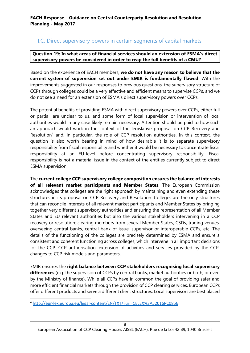### <span id="page-7-0"></span>I.C. Direct supervisory powers in certain segments of capital markets

**Question 19: In what areas of financial services should an extension of ESMA's direct supervisory powers be considered in order to reap the full benefits of a CMU?**

Based on the experience of EACH members, **we do not have any reason to believe that the current system of supervision set out under EMIR is fundamentally flawed**. With the improvements suggested in our responses to previous questions, the supervisory structure of CCPs through colleges could be a very effective and efficient means to supervise CCPs, and we do not see a need for an extension of ESMA's direct supervisory powers over CCPs.

The potential benefits of providing ESMA with direct supervisory powers over CCPs, either full or partial, are unclear to us, and some form of local supervision or intervention of local authorities would in any case likely remain necessary. Attention should be paid to how such an approach would work in the context of the legislative proposal on CCP Recovery and Resolution<sup>4</sup> and, in particular, the role of CCP resolution authorities. In this context, the question is also worth bearing in mind of how desirable it is to separate supervisory responsibility from fiscal responsibility and whether it would be necessary to concentrate fiscal responsibility at an EU-level before concentrating supervisory responsibility. Fiscal responsibility is not a material issue in the context of the entities currently subject to direct ESMA supervision.

The **current college CCP supervisory college composition ensures the balance of interests of all relevant market participants and Member States**. The European Commission acknowledges that colleges are the right approach by maintaining and even extending these structures in its proposal on CCP Recovery and Resolution. Colleges are the only structures that can reconcile interests of all relevant market participants and Member States by bringing together very different supervisory authorities and ensuring the representation of all Member States and EU relevant authorities but also the various stakeholders intervening in a CCP recovery or resolution: clearing members from several Member States, CSDs, trading venues, overseeing central banks, central bank of issue, supervisor or interoperable CCPs, etc. The details of the functioning of the colleges are precisely determined by ESMA and ensure a consistent and coherent functioning across colleges, which intervene in all important decisions for the CCP: CCP authorisation, extension of activities and services provided by the CCP, changes to CCP risk models and parameters.

EMIR ensures the **right balance between CCP stakeholders recognising local supervisory differences** (e.g. the supervision of CCPs by central banks, market authorities or both, or even by the Ministry of finance). While all CCPs have in common the goal of providing safer and more efficient financial markets through the provision of CCP clearing services, European CCPs offer different products and serve a different client structures. Local supervisors are best placed

 $\overline{a}$ 

<sup>4</sup> <http://eur-lex.europa.eu/legal-content/EN/TXT/?uri=CELEX%3A52016PC0856>